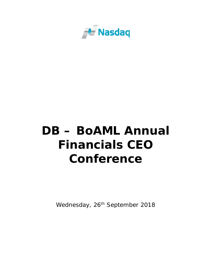

## **DB – BoAML Annual Financials CEO Conference**

Wednesday, 26<sup>th</sup> September 2018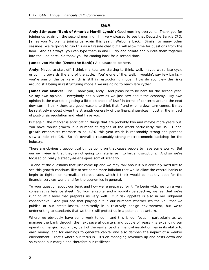## **Q&A**

**Andy Stimpson (Bank of America Merrill Lynch):** Good morning everyone. Thank you for joining us again on the second morning. I'm very pleased to see that Deutsche Bank's CFO, James von Moltke, is joining us again this year. Welcome back. Similar to many other sessions, we're going to run this as a fireside chat but I will allow time for questions from the floor. And as always, you can type them in and I'll try and collate and bundle them together into the iPad here. So thank you for coming back for a second time.

**James von Moltke (Deutsche Bank):** A pleasure to be here.

**Andy:** Maybe to start off, I think markets are starting to think, well, maybe we're late cycle or coming towards the end of the cycle. You're one of the, well, I wouldn't say few banks – you're one of the banks which is still in restructuring mode. How do you view the risks around still being in restructuring mode if we are going to reach late cycle?

James von Moltke: Sure. Thank you, Andy. And pleasure to be here for the second year. So my own opinion – everybody has a view as we just saw about the economy. My own opinion is the market is getting a little bit ahead of itself in terms of concerns around the next downturn. I think there are good reasons to think that if and when a downturn comes, it may be relatively modest given the strength generally of the financial services industry, the impact of post-crisis regulation and what have you.

But again, the market is anticipating things that are probably two and maybe more years out. You have robust growth in a number of regions of the world particularly the US. Global growth economists estimate to be 3.8% this year which is reasonably strong and perhaps slow a little into '19. So it's overall a reasonably strong macroeconomic backdrop for the industry.

There are obviously geopolitical things going on that cause people to have some worry. But our own view is that they're not going to materialise into larger disruptions. And so we're focused on really a steady-as-she-goes sort of scenario.

To one of the questions that just came up and we may talk about it but certainly we'd like to see this growth continue, like to see some more inflation that would allow the central banks to begin to tighten or normalise interest rates which I think would be healthy both for the financial services world and for the economies in general.

To your question about our bank and how we're prepared for it. To begin with, we run a very conservative balance sheet. So from a capital and a liquidity perspective, we feel that we're running at a level that prepares us very well. Our risk appetite is also in my judgment conservative. And you see that playing out in our numbers whether it's the VaR that we publish or our credit losses, admittedly in a relatively benign environment, but we're underwriting to standards that we think will protect us in a potential downturn.

Where we obviously have some work to  $do -$  and this is our focus  $-$  particularly as we manage the bank through the next several quarters and couple of years - is expanding our operating margin. You know, part of the resilience of a financial institution lies in its ability to earn money, and for earnings to generate capital and also dampen the impact of a weaker environment. That's where our focus is. It's on managing revenues up and costs down and so expand our margin and therefore our resilience.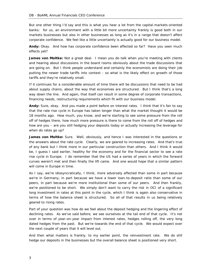But one other thing I'd say and this is what you hear a lot from the capital-markets-oriented banks: for us, an environment with a little bit more uncertainty frankly is good both in our markets businesses but also in other businesses as long as it's in a range that doesn't affect corporate confidence. We feel like a little uncertainty is actually good for our business model.

**Andy:** Okay. And how has corporate confidence been affected so far? Have you seen much effects yet?

James von Moltke: Not a great deal. I mean you do talk when you're meeting with clients and hearing about discussions in the board rooms obviously about the trade discussions that are going on. But I think people understand and certainly the economists are doing their job putting the newer trade tariffs into context - so what is the likely effect on growth of those tariffs and they're relatively small.

If it continues for a considerable amount of time there will be discussions that need to be had about supply chains, about the way that economies are structured. But I think that's a long way down the line. And again, that itself can result in some degree of corporate transactions, financing needs, restructuring requirements which fit with our business model.

**Andy:** Sure, okay. And you made a point before on interest rates. I think that it's fair to say that the rate rise cycle in Europe has taken longer than what the market thought it would be 18 months ago. How much, you know, and we're starting to see some pressure from the roll off of hedges there, how much more pressure is there to come from the roll off of hedges and how are you – are you still hedging your deposits today or actually increasing the leverage for when do rates go up?

**James von Moltke:** Sure. Well, obviously, and hence I was interested in the questions or the answers about the rate cycle. Clearly, we are geared to increasing rates. And that's true of any bank but I think more in our particular construction than others. And I think it would be, I guess I said earlier, healthy for the economy and for the financial sector to see a rate rise cycle in Europe. I do remember that the US had a series of years in which the forward curves weren't met and then finally the lift came. And one would hope that a similar pattern will come in Europe in time.

As I say, we're idiosyncratically, I think, more adversely affected than some in part because we're in Germany, in part because we have a lower loan-to-deposit ratio than some of our peers, in part because we're more institutional than some of our peers. And then frankly, we're positioned to be short. We simply don't want to carry the risk in OCI of a significant long investment in rates at this point in the cycle, which I think is again also conservative in terms of how the balance sheet is structured. So all of that results in us being relatively geared to rising rates.

Part of your question was how do we feel about the deposit hedging and the lingering effect of declining rates. As we've said before, we see ourselves at the tail end of that cycle. It's not over in terms of year-on-year impact from interest rates, hedges rolling off, the very long dated hedges from the past. But we're towards the end of that cycle. We would expect over the next couple of years that it will level out.

And then what matters is frankly, to my earlier point, the reinvestment rate. We do still hedge our deposits in the businesses but the overall balance sheet is positioned very short.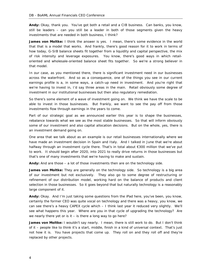**Andy:** Okay, thank you. You've got both a retail and a CIB business. Can banks, you know, still be leaders – can you still be a leader in both of those segments given the heavy investments that are needed in both business, I think?

**James von Moltke:** I think the answer is yes. I mean, there's some evidence in the world that that is a model that works. And frankly, there's good reason for it to work in terms of how today, G-SIB balance sheets fit together from a liquidity and capital perspective, the mix of risk intensity and leverage exposures. You know, there's good ways in which retailoriented and wholesale-oriented balance sheet fits together. So we're a strong believer in that model.

In our case, as you mentioned there, there is significant investment need in our businesses across the waterfront. And so as a consequence, one of the things you see in our current earnings profile is a, in some ways, a catch-up need in investment. And you're right that we're having to invest in, I'd say three areas in the main. Retail obviously some degree of investment in our institutional businesses but then also regulatory remediation.

So there's some element of a wave of investment going on. We think we have the scale to be able to invest in those businesses. But frankly, we want to see the pay off from those investments flow through earnings in the years to come.

Part of our strategic goal as we announced earlier this year is to shape the businesses, rebalance towards what we see as the most stable businesses. So that will inform obviously some of our investment and also capital allocation decisions. But on the whole, yes, there is an investment demand going on.

One area that we talk about as an example is our retail businesses internationally where we have made an investment decision in Spain and Italy. And I talked in June that we're about halfway through an investment cycle there. That's in total about €300 million that we've put to work. It should begin after 2020, into 2021 to really drive returns in those businesses but that's one of many investments that we're having to make and sustain.

**Andy:** And are those – a lot of those investments then are on the technology side.

**James von Moltke:** They are generally on the technology side. So technology is a big area of our investment but not exclusively. They also go to some degree of restructuring or refinement of our distribution model, working hard on the balance of products and client selection in those businesses. So it goes beyond that but naturally technology is a reasonably large component of it.

**Andy:** Okay. And I'm just taking some questions from the iPad here, you've been, you know, certainly the former CEO was quite vocal on technology and there was a heavy, you know, we can see there's a heavy CAPEX cycle which – I think last year it reduced very slightly. We'll see what happens this year. Where are you in that cycle of upgrading the technology? Are we nearly there yet or is it  $-$  is there a long way to go here?

**James von Moltke:** I wouldn't say nearly. I mean, there is still work to do. But I don't think of it – people like to think it's a start, middle, finish in a kind of universal context. That's just not how it is. You have projects that come up. They roll on and they roll off and they're replaced by other projects.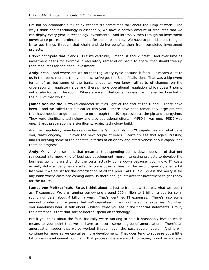I'm not an economist but I think economists sometimes talk about the lump of work. The way I think about technology is essentially, we have a certain amount of resources that we can deploy every year in technology investments. And internally then through an investment governance process, projects compete for those resources. We have to prioritise but the goal is to get things through that chain and derive benefits then from completed investment projects.

I don't anticipate that it ends. But it's certainly, I mean, it should crest. And over time as investment needs for example in regulatory remediation begin to abate, that should free up then resources for additional investment.

**Andy:** Yeah. And where are we on that regulatory cycle because it feels – it means a lot to us in the room, more at the, you know, we've got the Basel finalisation. That was a big event for all of us but some of the banks allude to, you know, all sorts of changes on the cybersecurity, regulatory side and there's more operational regulation which doesn't pump out a ratio for us in the room. Where are we in that cycle, I guess it will never be done but in the bulk of that work?

**James von Moltke:** I would characterise it as light at the end of the tunnel. There have been – and we called this out earlier this year – there have been remarkably large projects that have needed to go – needed to go through the US expression as the pig and the python. They were significant technology and also operational efforts. MiFID II was one. PSD2 was one. Brexit preparation is a significant, again, technology build.

And then regulatory remediation, whether that's in controls, in KYC capabilities and what have you, that's ongoing. But over the next couple of years, I certainly see that again, cresting and us deriving some of the benefits in terms of efficiency and effectiveness of our capabilities there so progress.

**Andy:** Okay. And so does that mean as that spending comes down, does all of that get reinvested into more kind of business development, more interesting projects to develop the business going forward or did the costs actually come down because, you know, IT costs actually did – actually have started to come down at least in the second quarter, even a bit last year if we adjust for the amortisation of all the prior CAPEX. So I guess the worry is for any bank where costs are coming down, is there enough left over for investment to get ready for the future?

**James von Moltke:** Yeah. So as I think about it, just to frame it a little bit, what we report as IT expenses. We are running somewhere around 900 million to 1 billion a quarter so in round numbers, about 4 billion a year. That's identified IT expenses. There's also some amount of internal IT expense that isn't capitalised in terms of personnel expenses. So when you sometimes hear us talk about 5 billion, what you see in the financial statements is four, the difference is that that sort of internal spend on technology.

But if you think about the four, basically we're working to hold it reasonably leveled which means to your point that we do have to absorb some degree of amortisation. There's an amortisation ladder that we've worked through over the past several years. And it will continue for more as we capitalise more development. That does tend to squeeze out a little bit of new development but it's in that process where we work to, again, prioritise and also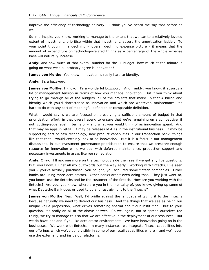improve the efficiency of technology delivery. I think you've heard me say that before as well.

So in principle, you know, working to manage to the extent that we can to a relatively leveled extent of investment, prioritise within that investment, absorb the amortisation ladder. To your point though, in a declining – overall declining expense picture - it means that the amount of expenditure on technology-related things as a percentage of the whole expense base will naturally increase.

**Andy:** And how much of that overall number for the IT budget, how much at the minute is going on what we'd all probably agree is innovation?

James von Moltke: You know, innovation is really hard to identify.

**Andy:** It's a buzzword.

James von Moltke: I know. It's a wonderful buzzword. And frankly, you know, it absorbs a lot of management tension in terms of how you manage innovation. But if you think about trying to go through all of the budgets, all of the projects that make up that 4 billion and identify which you'd characterise as innovation and which are whatever, maintenance, it's hard to do with any sort of meaningful definition or comparable definition.

What I would say is we are focused on preserving a sufficient amount of budget in that prioritisation effort, in that overall spend to ensure that we're remaining on a competitive, if not, cutting-edge level in terms of – and what you would think of as innovation spend. And that may be apps in retail. It may be releases of APIs in the institutional business. It may be supporting sort of new technology, new product capabilities in our transaction bank, things like that that I would certainly look at as innovation. But it is a focus in our management discussions, in our investment governance prioritisation to ensure that we preserve enough resource for innovation while we deal with deferred maintenance, production support and necessary investments in areas like reg remediation.

**Andy:** Okay. I'll ask one more on the technology side then see if we got any live questions. But, you know, I'll get all my buzzwords out the way early. Working with fintechs, I've seen you – you've actually purchased, you bought, you acquired some fintech companies. Other banks are using more accelerators. Other banks aren't even doing that. They just want to, you know, use the fintechs and be the customer of the fintech. How are you working with the fintechs? Are you, you know, where are you in the mentality of, you know, giving up some of what Deutsche Bank does or used to do and just giving it to the fintechs?

James von Moltke: Yes. Well, I'd bridle against the language of giving it to the fintechs because naturally we need to defend our business. And the things that we see as being our unique value proposition, what drives something special about our institution. But to your question, it's really an all-of-the-above answer. So we, again, not to spread ourselves too thinly, we try to manage this so that we are effective in the deployment of our resources. But we do have labs and if you like accelerator environments. We have innovation going on in the businesses. We work with fintechs. In many instances, we integrate fintech capabilities into our offerings which we've done visibly in some of our retail capabilities where – and we'll even use the external brand inside our platforms.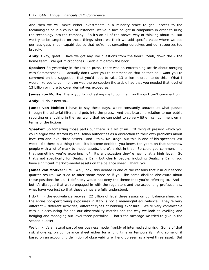And then we will make either investments in a minority stake to get access to the technologies or in a couple of instances, we've in fact bought in companies in order to bring the technology into the company. So it's an all-of-the-above, way of thinking about it. But we try to be targeted on those things where we think we add specific value where we see perhaps gaps in our capabilities so that we're not spreading ourselves and our resources too broadly.

**Andy:** Okay, great. Have we got any live questions from the floor? Yeah, down the – the home team. We got microphones. Grab a mic from the back.

**Speaker:** So yesterday in the Italian press, there was an entertaining article about merging with Commerzbank. I actually don't want you to comment on that neither do I want you to comment on the suggestion that you'd need to raise 13 billion in order to do this. What I would like you to comment on was the perception the article had that you needed that level of 13 billion or more to cover derivatives exposures.

**James von Moltke:** Thank you for not asking me to comment on things I can't comment on.

**Andy:** I'll do it next so...

**James von Moltke:** I have to say these days, we're constantly amazed at what passes through the editorial filters and gets into the press. And that bears no relation to our public reporting or anything in the real world that we can point to so very little I can comment on in terms of the fictions.

**Speaker:** So forgetting those parts but there is a bit of an ECB thing at present which you could argue was started by the Italian authorities as a distraction to their own problems about level two and level three assets. And I think Mr Draghi put this in one of his speeches last week. So there is a thing that – it's become decided, you know, ten years on that somehow people with a lot of mark-to-model assets, there's a risk in that. So could you comment – is that something you're experiencing? It's a discussion they're having at a high level. So that's not specifically for Deutsche Bank but clearly people, including Deutsche Bank, you have significant mark-to-model assets on the balance sheet. Thank you.

**James von Moltke:** Sure. Well, look, this debate is one of the reasons that if in our second quarter results, we tried to offer some more or if you like some distilled disclosure about those positions for us. I definitely would not deny the theme that you're referring to. And but it's dialogue that we're engaged in with the regulators and the accounting professionals, what have you just so that these things are fully understood.

I do think the equivalence between 22 billion of level three assets on our balance sheet and the entire non-performing exposures in Italy is not a meaningful equivalence. They're very different – different activities, different types of banking exposure. We're very comfortable with our accounting for and our observability metrics and the way we look at levelling and hedging and managing our level three portfolios. That's the message we tried to give in the second quarter.

We think it's a natural part of our business model frankly of intermediating risk. Some of that risk shows up on our balance sheet either for a long time or temporarily. And some of it based on an accounting definition of observability will end up seen as a level three asset. But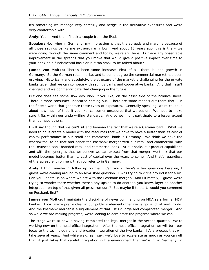it's something we manage very carefully and hedge in the derivative exposures and we're very comfortable with.

**Andy:** Yeah. And then I'll ask a couple from the iPad.

**Speaker:** Not living in Germany, my impression is that the spreads and margins because of all those savings banks are extraordinarily low. And about 18 years ago, this is the – we were going through the same comment and today, we're still here. Is there any observable improvement in the spreads that you make that would give a positive impact over time to your bank on a fundamental basis or is it too small to be talked about?

**James von Moltke:** There's been some increase. First of all, there is loan growth in Germany. So the German retail market and to some degree the commercial market has been growing. Historically and absolutely, the structure of the market is challenging for the private banks given that we can compete with savings banks and cooperative banks. And that hasn't changed and we don't anticipate that changing in the future.

But one does see some slow evolution, if you like, on the asset side of the balance sheet. There is more consumer unsecured coming out. There are some models out there that – in the fintech world that generate those types of exposures. Generally speaking, we're cautious about how much of that, if you like, consumer unsecured that we put on. We need to make sure it fits within our underwriting standards. And so we might participate to a lesser extent than perhaps others.

I will say though that we can't sit and bemoan the fact that we're a German bank. What we need to do is create a model with the resources that we have to have a better than its cost of capital performance in our retail and commercial bank in Germany. We think we have the wherewithal to do that and hence the Postbank merger with our retail and commercial, with the Deutsche Bank branded retail and commercial bank. At our scale, our product capabilities and with the synergies that we believe we can extract from that merger, we think that our model becomes better than its cost of capital over the years to come. And that's regardless of the spread environment that you refer to in Germany.

**Andy:** I think maybe I'll follow up on that. Can you – there's a few questions here on, I guess we're coming around to an M&A style question. I was trying to circle around it for a bit. Can you update us on where we are with the Postbank merger? And ultimately, I guess we're trying to wonder there whether there's any upside to do another, you know, layer on another integration on top of that given all press rumours? But maybe if to start, would you comment on Postbank first?

**James von Moltke:** I maintain the discipline of never commenting on M&A as a former M&A banker. Look, we're pretty clear in our public statements that we've got a lot of work to do. And the Postbank merger is a big element of that. It's a large and complicated merger. And so while we are making progress, we're looking to accelerate the progress where we can.

The stage we're at now is having completed the legal merger in the second quarter. We're working now on the head office integration. After the head office integration we will turn our focus to the technology end and broader integration of the two banks. It's a process that will take several years. And while we'd, as I say, we'd love to accelerate as much as you can off that, it just takes that careful integration in the environment that we're in, in Germany, in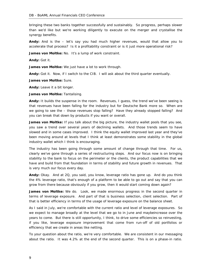bringing these two banks together successfully and sustainably. So progress, perhaps slower than we'd like but we're working diligently to execute on the merger and crystallise the synergy benefits.

**Andy:** And is the – let's say you had much higher revenues, would that allow you to accelerate that process? Is it a profitability constraint or is it just more operational risk?

James von Moltke: No. It's a lump of work constraint.

**Andy:** Got it.

**James von Moltke:** We just have a lot to work through.

**Andy:** Got it. Now, if I switch to the CIB. I will ask about the third quarter eventually.

**James von Moltke:** Sure.

**Andy:** Leave it a bit longer.

**James von Moltke:** Tantalising.

**Andy:** It builds the suspense in the room. Revenues, I guess, the trend we've been seeing is that revenues have been falling for the industry but for Deutsche Bank more so. When are we going to see the – those revenues stop falling? Have they already stopped falling? And you can break that down by products if you want or overall.

**James von Moltke:** If you talk about the big picture, the industry wallet pools that you see, you saw a trend over several years of declining wallets. And those trends seem to have slowed and in some cases improved. I think the equity wallet improved last year and they've been moving around at levels that I think at least demonstrates some stability in the global industry wallet which I think is encouraging.

The industry has been going through some amount of change through that time. For us, clearly we've gone through a series of restructuring steps. And our focus now is on bringing stability to the bank to focus on the perimeter or the clients, the product capabilities that we have and build from that foundation in terms of stability and future growth in revenues. That is very much our focus every day.

**Andy:** Okay. And at 2Q, you said, you know, leverage ratio has gone up. And do you think the 4% leverage ratio, that's enough of a platform to be able to go out and say that you can grow from there because obviously if you grow, then it would start coming down again?

**James von Moltke:** We do. Look, we made enormous progress in the second quarter in terms of leverage exposure. And part of that is business selection, client selection. Part of that is better efficiency in terms of the usage of leverage exposure on the balance sheet.

As I said in July, we're comfortable with the current ratio and level of leverage exposures. So we expect to manage broadly at the level that we go to in June and maybeincrease over the years to come. But there is still opportunity, I think, to drive some efficiencies so reinvesting, if you like, leverage exposure improvement that come from run-off of old portfolios or efficiency that we create in areas like netting.

To your question about the ratio, we're very comfortable. We are consistent in our messaging about the ratio. It was 4.2% at the end of the second quarter. This is on a phase-in ratio.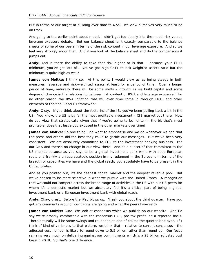But in terms of our target of building over time to 4.5%, we view ourselves very much to be on track.

And going to the earlier point about model, I didn't get too deeply into the model risk versus leverage exposure debate. But our balance sheet isn't exactly comparable to the balance sheets of some of our peers in terms of the risk content in our leverage exposure. And so we feel very strongly about that. And if you look at the balance sheet and do the comparisons it jumps out.

**Andy:** And is there the ability to take that risk higher or is that – because your CET1 minimum, you've got lots of – you've got high CET1 to risk-weighted assets ratio but the minimum is quite high as well?

**James von Moltke:** I think so. At this point, I would view us as being steady in both measures, leverage and risk-weighted assets at least for a period of time. Over a longer period of time, naturally there will be some shifts – growth as we build capital and some degree of change in the relationship between risk content or RWA and leverage exposure if for no other reason the RWA inflation that will over time come in through FRTB and other elements of the final Basel III framework.

**Andy:** Okay. If you think about the footprint of the IB, you've been pulling back a bit in the US. You know, the US is by far the most profitable investment – CIB market out there. How do you view that strategically given that if you're going to be lighter in the bit that's most profitable, does that leave you exposed in the other markets over time?

**James von Moltke:** So one thing I do want to emphasise and we do whenever we can that the press and others did the best they could to garble our messages. But we've been very consistent. We are absolutely committed to CIB, to the investment banking business. It's our DNA and there's no change in our view there. And as a subset of that committed to the US market because as you say, to be a global investment bank while with deep European roots and frankly a unique strategic position in my judgment in the Eurozone in terms of the breadth of capabilities we have and the global reach, you absolutely have to be present in the United States.

And as you pointed out, it's the deepest capital market and the deepest revenue pool. But we've chosen to be more selective in what we pursue with the United States. A recognition that we could not compete across the broad range of activities in the US with our US peers for whom it's a domestic market but we absolutely feel it's a critical part of being a global investment bank or a European investment bank with global reach.

**Andy:** Okay, great. Before the iPad blows up, I'll ask you about the third quarter. Have you got any comments around how things are going and what the peers have said?

**James von Moltke:** Sure. We look at consensus which we publish on our website. And I'd say we're broadly comfortable with the consensus IBIT, pre-tax profit, on a reported basis. There naturally will be some swings and roundabouts and of course the quarter isn't over. If I think of kind of variances to that picture, we think that – relative to current consensus - the adjusted cost number is likely to round down to 5.5 billion rather than round up. Our focus remains very much on delivering against our commitments which is a 23 billion adjusted cost base in 2018. So that's one difference.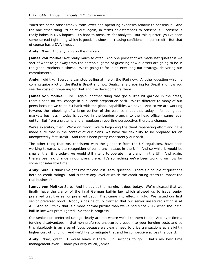You'd see some offset frankly from lower non-operating expenses relative to consensus. And the one other thing I'd point out, again, in terms of differences to consensus – consensus really bakes in DVA impact. It's hard to measure for analysts. But this quarter, you've seen some spread tightening which is good. It shows increasing confidence in our credit. But that of course has a DVA impact.

**Andy:** Okay. And anything on the market?

**James von Moltke:** Not really much to offer. And one point that we made last quarter is we sort of want to go away from the perennial game of guessing how quarters are going to be in the global markets business. We're going to focus on executing our strategy, delivering our commitments.

**Andy:** I did try. Everyone can stop yelling at me on the iPad now. Another question which is coming quite a lot on the iPad is Brexit and how Deutsche is preparing for Brexit and how you see the costs of preparing for that and the developments there.

**James von Moltke:** Sure. Again, another thing that got a little bit garbled in the press, there's been no real change in our Brexit preparation path. We're different to many of our peers because we're an EU bank with the global capabilities we have. And so we are working towards the rebooking of a large portion of the balance sheet that today – for our global markets business - today is booked in the London branch, to the head office - same legal entity. But from a systems and a regulatory reporting perspective, there's a change.

We're executing that. We're on track. We're beginning the client repapering effort and have made sure that in the context of our plans, we have the flexibility to be prepared for an unexpectedly fast Brexit. And that's been pretty consistently our path.

The other thing that we, consistent with the guidance from the UK regulators, have been working towards is the recognition of our branch status in the UK. And so while it would be smaller than it is today, we would still intend to operate in a branch in the UK. And again, there's been no change in our plans there. It's something we've been working on now for some considerable time.

**Andy:** Sure. I think I've got time for one last literal question. There's a couple of questions here on credit ratings. And is there any level at which the credit rating starts to impact the real business?

**James von Moltke:** Sure. And I'd say at the margin, it does today. We're pleased that we finally have the clarity of the final German bail-in law which allowed us to issue senior preferred credit or senior preferred debt. That came into effect in July. We issued our first senior preferred bond. Moody's has helpfully clarified that our senior unsecured rating is at A3. And so I think that is a more normal picture than we've had since 2017 when the initial bail-in law was promulgated. So that is progress.

Our senior non-preferred ratings clearly are not where we'd like them to be. And over time a funding disadvantage in that non-preferred unsecured creeps into your funding costs and so this absolutely is an area of focus because we clearly need to price transactions at a slightly higher cost of funding. And we'd like to mitigate that and be competitive across the board.

**Andy:** Okay, great. I would leave it there. 15 seconds to go. That's my best time management ever. Thank you very much, James.